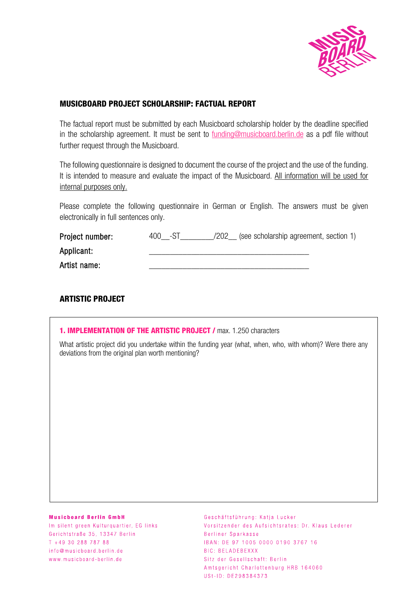

## **MUSICBOARD PROJECT SCHOLARSHIP: FACTUAL REPORT**

The factual report must be submitted by each Musicboard scholarship holder by the deadline specified in the scholarship agreement. It must be sent to funding[@musicboard.berlin.de](mailto:funding@musicboard.berlin.de) as a pdf file without further request through the Musicboard.

The following questionnaire is designed to document the course of the project and the use of the funding. It is intended to measure and evaluate the impact of the Musicboard. All information will be used for internal purposes only.

Please complete the following questionnaire in German or English. The answers must be given electronically in full sentences only.

| Project number: | $400 - S1$ | (see scholarship agreement, section 1)<br>/202 |  |
|-----------------|------------|------------------------------------------------|--|
| Applicant:      |            |                                                |  |
| Artist name:    |            |                                                |  |

# **ARTISTIC PROJECT**

| <b>1. IMPLEMENTATION OF THE ARTISTIC PROJECT / max. 1.250 characters</b><br>What artistic project did you undertake within the funding year (what, when, who, with whom)? Were there any<br>deviations from the original plan worth mentioning? |  |  |  |
|-------------------------------------------------------------------------------------------------------------------------------------------------------------------------------------------------------------------------------------------------|--|--|--|
|                                                                                                                                                                                                                                                 |  |  |  |
|                                                                                                                                                                                                                                                 |  |  |  |
|                                                                                                                                                                                                                                                 |  |  |  |
|                                                                                                                                                                                                                                                 |  |  |  |

#### **Musicboard Berlin GmbH**

Im silent green Kulturguartier, EG links Gerichtstraße 35, 13347 Berlin  $T + 493028878788$ info@musicboard.berlin.de www.musicboard-berlin.de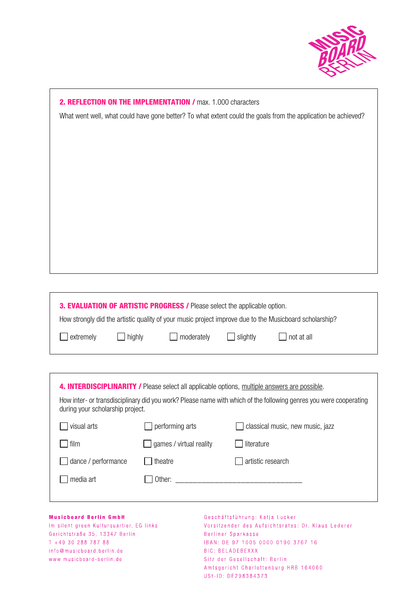

| 2. REFLECTION ON THE IMPLEMENTATION / max. 1.000 characters                                                   |  |  |  |  |  |  |
|---------------------------------------------------------------------------------------------------------------|--|--|--|--|--|--|
| What went well, what could have gone better? To what extent could the goals from the application be achieved? |  |  |  |  |  |  |
|                                                                                                               |  |  |  |  |  |  |
|                                                                                                               |  |  |  |  |  |  |
|                                                                                                               |  |  |  |  |  |  |
|                                                                                                               |  |  |  |  |  |  |
|                                                                                                               |  |  |  |  |  |  |
|                                                                                                               |  |  |  |  |  |  |
|                                                                                                               |  |  |  |  |  |  |
|                                                                                                               |  |  |  |  |  |  |
|                                                                                                               |  |  |  |  |  |  |
|                                                                                                               |  |  |  |  |  |  |
|                                                                                                               |  |  |  |  |  |  |
|                                                                                                               |  |  |  |  |  |  |
|                                                                                                               |  |  |  |  |  |  |
| 3. EVALUATION OF ARTISTIC PROGRESS / Please select the applicable option.                                     |  |  |  |  |  |  |
| How strongly did the artistic quality of your music project improve due to the Musicboard scholarship?        |  |  |  |  |  |  |
| extremely<br>moderately<br>highly<br>slightly<br>not at all                                                   |  |  |  |  |  |  |
|                                                                                                               |  |  |  |  |  |  |
|                                                                                                               |  |  |  |  |  |  |

| <b>4. INTERDISCIPLINARITY /</b> Please select all applicable options, multiple answers are possible.<br>How inter- or transdisciplinary did you work? Please name with which of the following genres you were cooperating<br>during your scholarship project. |                         |                                  |  |  |  |
|---------------------------------------------------------------------------------------------------------------------------------------------------------------------------------------------------------------------------------------------------------------|-------------------------|----------------------------------|--|--|--|
| visual arts                                                                                                                                                                                                                                                   | performing arts         | classical music, new music, jazz |  |  |  |
| film                                                                                                                                                                                                                                                          | games / virtual reality | literature                       |  |  |  |
| dance / performance                                                                                                                                                                                                                                           | theatre                 | artistic research                |  |  |  |
| media art                                                                                                                                                                                                                                                     | Other:                  |                                  |  |  |  |
|                                                                                                                                                                                                                                                               |                         |                                  |  |  |  |

### **Musicboard Berlin GmbH**

 $\Gamma$ 

Im silent green Kulturquartier, EG links Gerichtstraße 35, 13347 Berlin  $T + 493028878788$ info@musicboard.berlin.de www.musicboard-berlin.de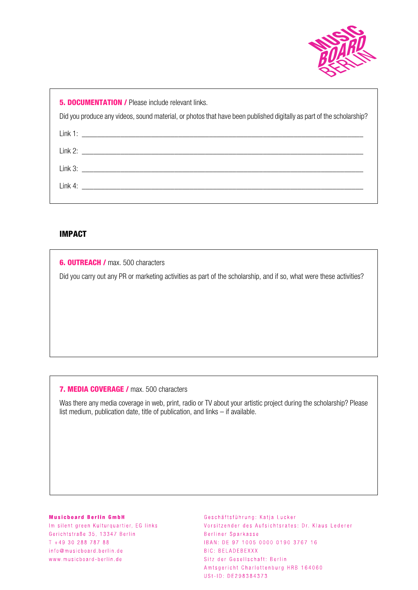

**5. DOCUMENTATION / Please include relevant links.** 

Did you produce any videos, sound material, or photos that have been published digitally as part of the scholarship?

| Link 2: |  |
|---------|--|
| Link 3: |  |
|         |  |
|         |  |

# **IMPACT**

**6. OUTREACH / max. 500 characters** 

Did you carry out any PR or marketing activities as part of the scholarship, and if so, what were these activities?

### **7. MEDIA COVERAGE /** max. 500 characters

Was there any media coverage in web, print, radio or TV about your artistic project during the scholarship? Please list medium, publication date, title of publication, and links – if available.

#### **Musicboard Berlin GmbH**

Im silent green Kulturguartier, EG links Gerichtstraße 35, 13347 Berlin T +49 30 288 787 88 info@musicboard.berlin.de www.musicboard-berlin.de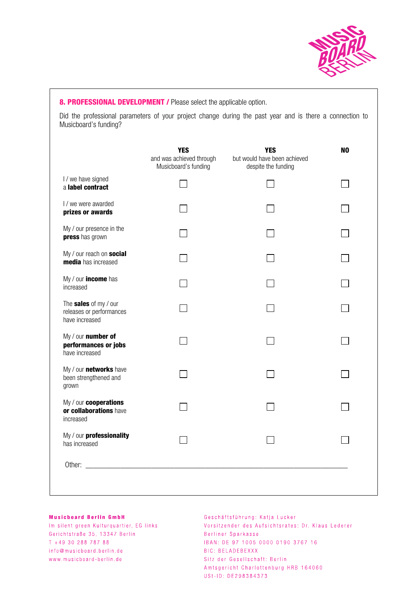

## **8. PROFESSIONAL DEVELOPMENT / Please select the applicable option.**

Did the professional parameters of your project change during the past year and is there a connection to Musicboard's funding?

|                                                                     | <b>YES</b><br>and was achieved through<br>Musicboard's funding | <b>YES</b><br>but would have been achieved<br>despite the funding | N <sub>0</sub> |
|---------------------------------------------------------------------|----------------------------------------------------------------|-------------------------------------------------------------------|----------------|
| I / we have signed<br>a label contract                              |                                                                |                                                                   |                |
| I / we were awarded<br>prizes or awards                             |                                                                |                                                                   |                |
| My / our presence in the<br>press has grown                         |                                                                |                                                                   |                |
| My / our reach on social<br>media has increased                     |                                                                |                                                                   |                |
| My / our income has<br>increased                                    |                                                                |                                                                   |                |
| The sales of my / our<br>releases or performances<br>have increased |                                                                |                                                                   |                |
| My / our number of<br>performances or jobs<br>have increased        |                                                                |                                                                   |                |
| My / our networks have<br>been strengthened and<br>grown            |                                                                |                                                                   |                |
| My / our cooperations<br>or collaborations have<br>increased        |                                                                |                                                                   |                |
| My / our professionality<br>has increased                           |                                                                |                                                                   |                |
| Other:                                                              |                                                                |                                                                   |                |

#### **Musicboard Berlin GmbH**

Im silent green Kulturquartier, EG links Gerichtstraße 35, 13347 Berlin  $T + 493028878788$ info@musicboard.berlin.de www.musicboard-berlin.de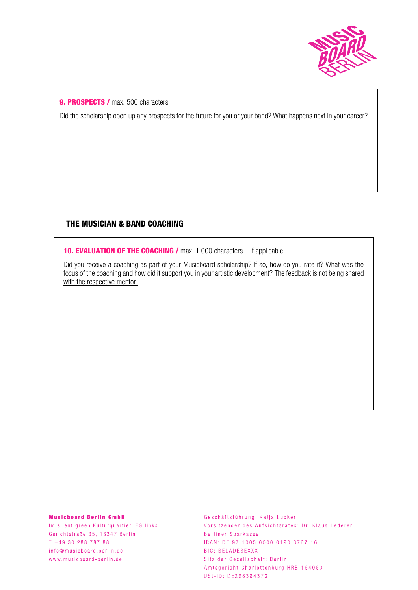

## **9. PROSPECTS /** max. 500 characters

Did the scholarship open up any prospects for the future for you or your band? What happens next in your career?

## **THE MUSICIAN & BAND COACHING**

**10. EVALUATION OF THE COACHING / max. 1.000 characters – if applicable** 

Did you receive a coaching as part of your Musicboard scholarship? If so, how do you rate it? What was the focus of the coaching and how did it support you in your artistic development? The feedback is not being shared with the respective mentor.

#### **Musicboard Berlin GmbH**

Im silent green Kulturguartier, EG links Gerichtstraße 35, 13347 Berlin  $T + 493028878788$ info@musicboard.berlin.de www.musicboard-berlin.de